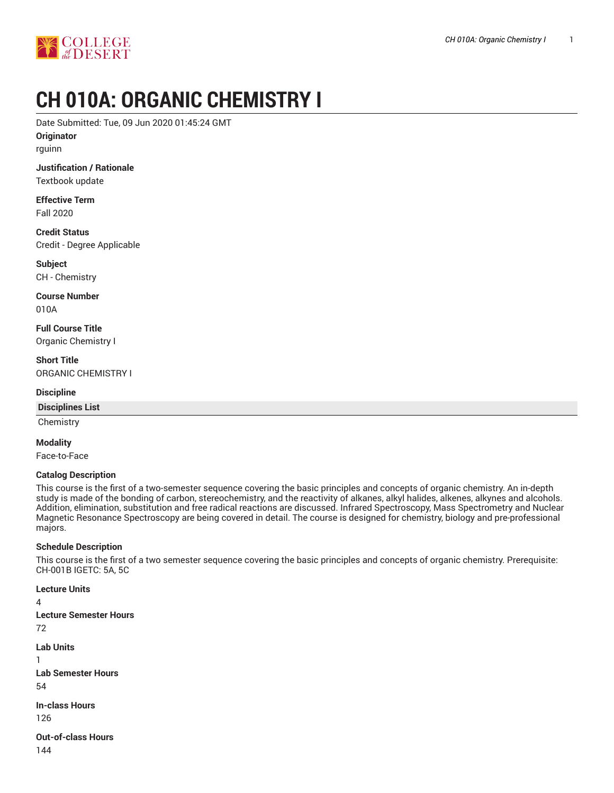

# **CH 010A: ORGANIC CHEMISTRY I**

Date Submitted: Tue, 09 Jun 2020 01:45:24 GMT

**Originator**

rguinn

# **Justification / Rationale**

Textbook update

**Effective Term** Fall 2020

**Credit Status** Credit - Degree Applicable

**Subject** CH - Chemistry

**Course Number** 010A

**Full Course Title** Organic Chemistry I

**Short Title** ORGANIC CHEMISTRY I

#### **Discipline**

#### **Disciplines List**

**Chemistry** 

#### **Modality**

Face-to-Face

#### **Catalog Description**

This course is the first of a two-semester sequence covering the basic principles and concepts of organic chemistry. An in-depth study is made of the bonding of carbon, stereochemistry, and the reactivity of alkanes, alkyl halides, alkenes, alkynes and alcohols. Addition, elimination, substitution and free radical reactions are discussed. Infrared Spectroscopy, Mass Spectrometry and Nuclear Magnetic Resonance Spectroscopy are being covered in detail. The course is designed for chemistry, biology and pre-professional majors.

#### **Schedule Description**

This course is the first of a two semester sequence covering the basic principles and concepts of organic chemistry. Prerequisite: CH-001B IGETC: 5A, 5C

**Lecture Units**  $\Delta$ 

**Lecture Semester Hours** 72 **Lab Units** 1 **Lab Semester Hours** 54 **In-class Hours** 126

**Out-of-class Hours** 144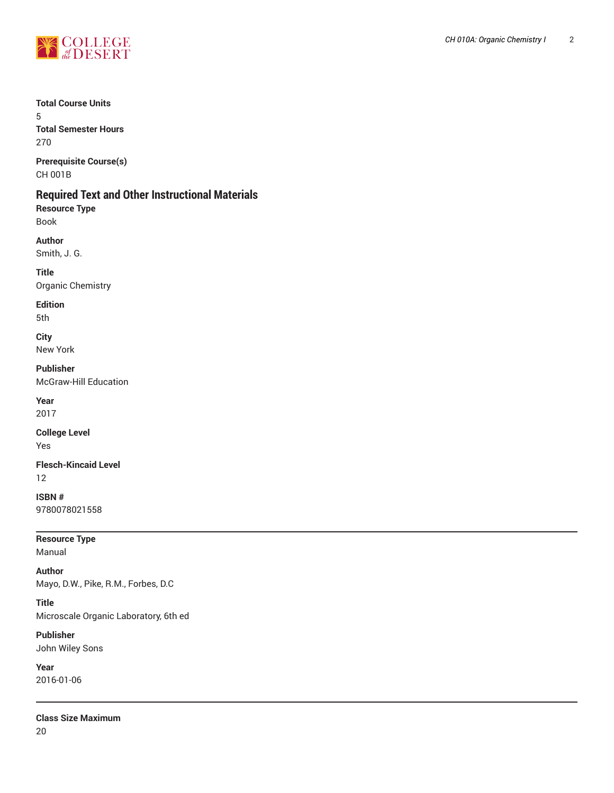

#### **Total Course Units**

5 **Total Semester Hours** 270

**Prerequisite Course(s)** CH 001B

## **Required Text and Other Instructional Materials**

**Resource Type** Book

**Author** Smith, J. G.

**Title** Organic Chemistry

**Edition**

5th

**City** New York

**Publisher** McGraw-Hill Education

**Year** 2017

**College Level**

Yes

**Flesch-Kincaid Level** 12

**ISBN #** 9780078021558

**Resource Type** Manual

**Author** Mayo, D.W., Pike, R.M., Forbes, D.C

**Title** Microscale Organic Laboratory, 6th ed

**Publisher** John Wiley Sons

**Year** 2016-01-06

**Class Size Maximum** 20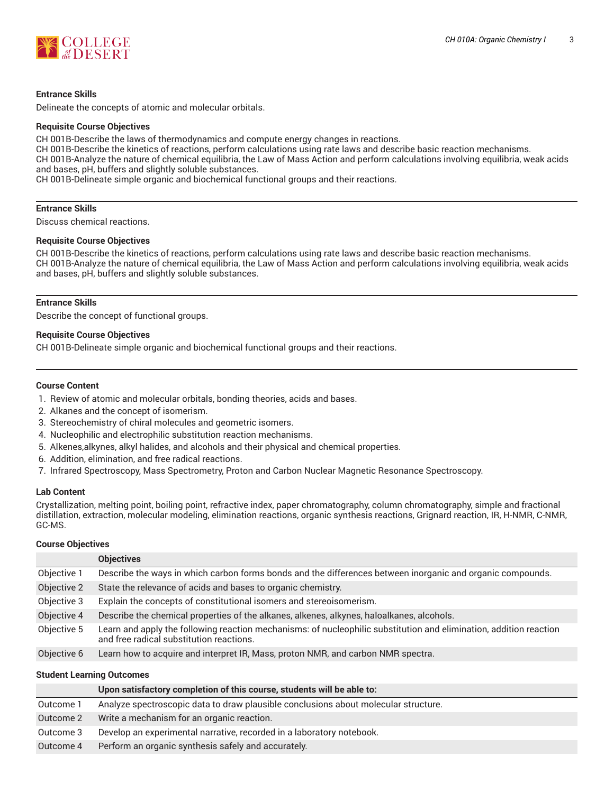

#### **Entrance Skills**

Delineate the concepts of atomic and molecular orbitals.

#### **Requisite Course Objectives**

CH 001B-Describe the laws of thermodynamics and compute energy changes in reactions.

CH 001B-Describe the kinetics of reactions, perform calculations using rate laws and describe basic reaction mechanisms.

CH 001B-Analyze the nature of chemical equilibria, the Law of Mass Action and perform calculations involving equilibria, weak acids and bases, pH, buffers and slightly soluble substances.

CH 001B-Delineate simple organic and biochemical functional groups and their reactions.

#### **Entrance Skills**

Discuss chemical reactions.

#### **Requisite Course Objectives**

CH 001B-Describe the kinetics of reactions, perform calculations using rate laws and describe basic reaction mechanisms. CH 001B-Analyze the nature of chemical equilibria, the Law of Mass Action and perform calculations involving equilibria, weak acids and bases, pH, buffers and slightly soluble substances.

#### **Entrance Skills**

Describe the concept of functional groups.

#### **Requisite Course Objectives**

CH 001B-Delineate simple organic and biochemical functional groups and their reactions.

#### **Course Content**

- 1. Review of atomic and molecular orbitals, bonding theories, acids and bases.
- 2. Alkanes and the concept of isomerism.
- 3. Stereochemistry of chiral molecules and geometric isomers.
- 4. Nucleophilic and electrophilic substitution reaction mechanisms.
- 5. Alkenes,alkynes, alkyl halides, and alcohols and their physical and chemical properties.
- 6. Addition, elimination, and free radical reactions.
- 7. Infrared Spectroscopy, Mass Spectrometry, Proton and Carbon Nuclear Magnetic Resonance Spectroscopy.

#### **Lab Content**

Crystallization, melting point, boiling point, refractive index, paper chromatography, column chromatography, simple and fractional distillation, extraction, molecular modeling, elimination reactions, organic synthesis reactions, Grignard reaction, IR, H-NMR, C-NMR, GC-MS.

#### **Course Objectives**

| <b>Objectives</b>                                                                                                                                              |
|----------------------------------------------------------------------------------------------------------------------------------------------------------------|
| Describe the ways in which carbon forms bonds and the differences between inorganic and organic compounds.                                                     |
| State the relevance of acids and bases to organic chemistry.                                                                                                   |
| Explain the concepts of constitutional isomers and stereoisomerism.                                                                                            |
| Describe the chemical properties of the alkanes, alkenes, alkynes, haloalkanes, alcohols.                                                                      |
| Learn and apply the following reaction mechanisms: of nucleophilic substitution and elimination, addition reaction<br>and free radical substitution reactions. |
| Learn how to acquire and interpret IR, Mass, proton NMR, and carbon NMR spectra.                                                                               |
|                                                                                                                                                                |

#### **Student Learning Outcomes**

|           | Upon satisfactory completion of this course, students will be able to:              |
|-----------|-------------------------------------------------------------------------------------|
| Outcome 1 | Analyze spectroscopic data to draw plausible conclusions about molecular structure. |
| Outcome 2 | Write a mechanism for an organic reaction.                                          |
| Outcome 3 | Develop an experimental narrative, recorded in a laboratory notebook.               |
| Outcome 4 | Perform an organic synthesis safely and accurately.                                 |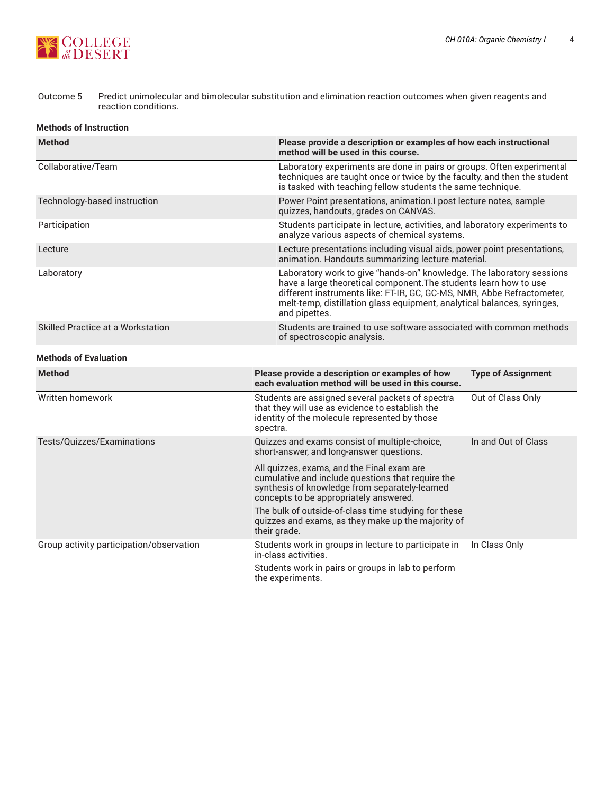

#### Outcome 5 Predict unimolecular and bimolecular substitution and elimination reaction outcomes when given reagents and reaction conditions.

#### **Methods of Instruction**

| <b>Method</b>                            | method will be used in this course.                                                                                                                                                                                                                                                                              | Please provide a description or examples of how each instructional                                                                                                                                                |  |  |
|------------------------------------------|------------------------------------------------------------------------------------------------------------------------------------------------------------------------------------------------------------------------------------------------------------------------------------------------------------------|-------------------------------------------------------------------------------------------------------------------------------------------------------------------------------------------------------------------|--|--|
| Collaborative/Team                       |                                                                                                                                                                                                                                                                                                                  | Laboratory experiments are done in pairs or groups. Often experimental<br>techniques are taught once or twice by the faculty, and then the student<br>is tasked with teaching fellow students the same technique. |  |  |
| Technology-based instruction             | quizzes, handouts, grades on CANVAS.                                                                                                                                                                                                                                                                             | Power Point presentations, animation.I post lecture notes, sample                                                                                                                                                 |  |  |
| Participation                            | analyze various aspects of chemical systems.                                                                                                                                                                                                                                                                     | Students participate in lecture, activities, and laboratory experiments to                                                                                                                                        |  |  |
| Lecture                                  |                                                                                                                                                                                                                                                                                                                  | Lecture presentations including visual aids, power point presentations,<br>animation. Handouts summarizing lecture material.                                                                                      |  |  |
| Laboratory                               | Laboratory work to give "hands-on" knowledge. The laboratory sessions<br>have a large theoretical component. The students learn how to use<br>different instruments like: FT-IR, GC, GC-MS, NMR, Abbe Refractometer,<br>melt-temp, distillation glass equipment, analytical balances, syringes,<br>and pipettes. |                                                                                                                                                                                                                   |  |  |
| Skilled Practice at a Workstation        | of spectroscopic analysis.                                                                                                                                                                                                                                                                                       | Students are trained to use software associated with common methods                                                                                                                                               |  |  |
| <b>Methods of Evaluation</b>             |                                                                                                                                                                                                                                                                                                                  |                                                                                                                                                                                                                   |  |  |
| <b>Method</b>                            | Please provide a description or examples of how<br>each evaluation method will be used in this course.                                                                                                                                                                                                           | <b>Type of Assignment</b>                                                                                                                                                                                         |  |  |
| Written homework                         | Students are assigned several packets of spectra<br>that they will use as evidence to establish the<br>identity of the molecule represented by those<br>spectra.                                                                                                                                                 | Out of Class Only                                                                                                                                                                                                 |  |  |
| Tests/Quizzes/Examinations               | Quizzes and exams consist of multiple-choice,<br>short-answer, and long-answer questions.                                                                                                                                                                                                                        | In and Out of Class                                                                                                                                                                                               |  |  |
|                                          | All quizzes, exams, and the Final exam are<br>cumulative and include questions that require the<br>synthesis of knowledge from separately-learned<br>concepts to be appropriately answered.                                                                                                                      |                                                                                                                                                                                                                   |  |  |
|                                          | The bulk of outside-of-class time studying for these<br>quizzes and exams, as they make up the majority of<br>their grade.                                                                                                                                                                                       |                                                                                                                                                                                                                   |  |  |
| Group activity participation/observation | Students work in groups in lecture to participate in<br>in-class activities.                                                                                                                                                                                                                                     | In Class Only                                                                                                                                                                                                     |  |  |
|                                          | Students work in pairs or groups in lab to perform<br>the experiments.                                                                                                                                                                                                                                           |                                                                                                                                                                                                                   |  |  |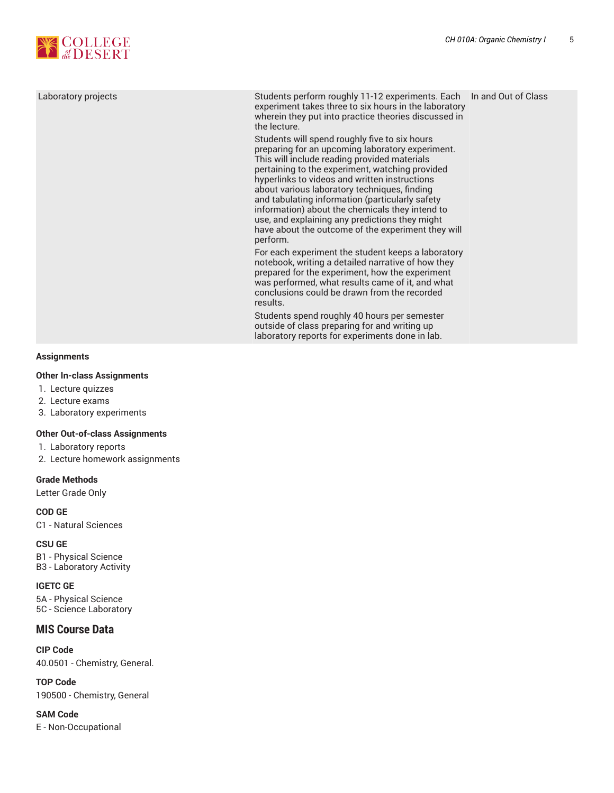

| Laboratory projects | Students perform roughly 11-12 experiments. Each  In and Out of Class<br>experiment takes three to six hours in the laboratory<br>wherein they put into practice theories discussed in<br>the lecture.                                                                                                                                                                                                                                                                                                                          |  |
|---------------------|---------------------------------------------------------------------------------------------------------------------------------------------------------------------------------------------------------------------------------------------------------------------------------------------------------------------------------------------------------------------------------------------------------------------------------------------------------------------------------------------------------------------------------|--|
|                     | Students will spend roughly five to six hours<br>preparing for an upcoming laboratory experiment.<br>This will include reading provided materials<br>pertaining to the experiment, watching provided<br>hyperlinks to videos and written instructions<br>about various laboratory techniques, finding<br>and tabulating information (particularly safety<br>information) about the chemicals they intend to<br>use, and explaining any predictions they might<br>have about the outcome of the experiment they will<br>perform. |  |
|                     | For each experiment the student keeps a laboratory<br>notebook, writing a detailed narrative of how they<br>prepared for the experiment, how the experiment<br>was performed, what results came of it, and what<br>conclusions could be drawn from the recorded<br>results.<br>Students spend roughly 40 hours per semester                                                                                                                                                                                                     |  |
|                     | outside of class preparing for and writing up<br>laboratory reports for experiments done in lab.                                                                                                                                                                                                                                                                                                                                                                                                                                |  |

#### **Assignments**

#### **Other In-class Assignments**

- 1. Lecture quizzes
- 2. Lecture exams
- 3. Laboratory experiments

#### **Other Out-of-class Assignments**

- 1. Laboratory reports
- 2. Lecture homework assignments

#### **Grade Methods**

Letter Grade Only

**COD GE** C1 - Natural Sciences

**CSU GE** B1 - Physical Science B3 - Laboratory Activity

**IGETC GE** 5A - Physical Science 5C - Science Laboratory

#### **MIS Course Data**

**CIP Code** 40.0501 - Chemistry, General.

**TOP Code** 190500 - Chemistry, General

**SAM Code** E - Non-Occupational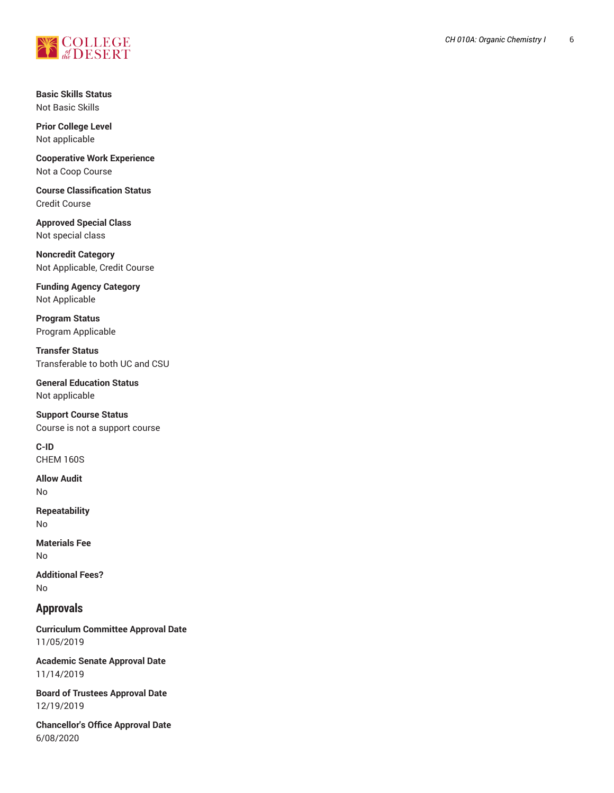

**Basic Skills Status** Not Basic Skills

**Prior College Le v e l** Not applicable

**Cooperative Work Experience** Not a Coop Course

**Course Classification Status** Credit Course

**Approved Special Class** Not special class

**Noncredit Catego r y** Not Applicable, Credit Course ,

**Funding Agency Category** Not Applicable

**Program Status** Program Applica ble

**T r a n s f e r S t a t u s** Transferable to both UC and CSU

**General Education Status** Not applicable

**Support Course Status** Course is not a support course

**C-ID** CHEM 160S

**Allow Audit** No

**Repeatability** No

**Materials Fee** No

**Ad d i t i o n a l F e e s ?** No

### **Approvals**

**Curriculum Committee Approval Date** 11/05/2019

Academic Senate Approval Date 11/14/2019

Board of Trustees Approval Date 12/19/2019

**Chancellor's Office Approval Date** 6/08/2020